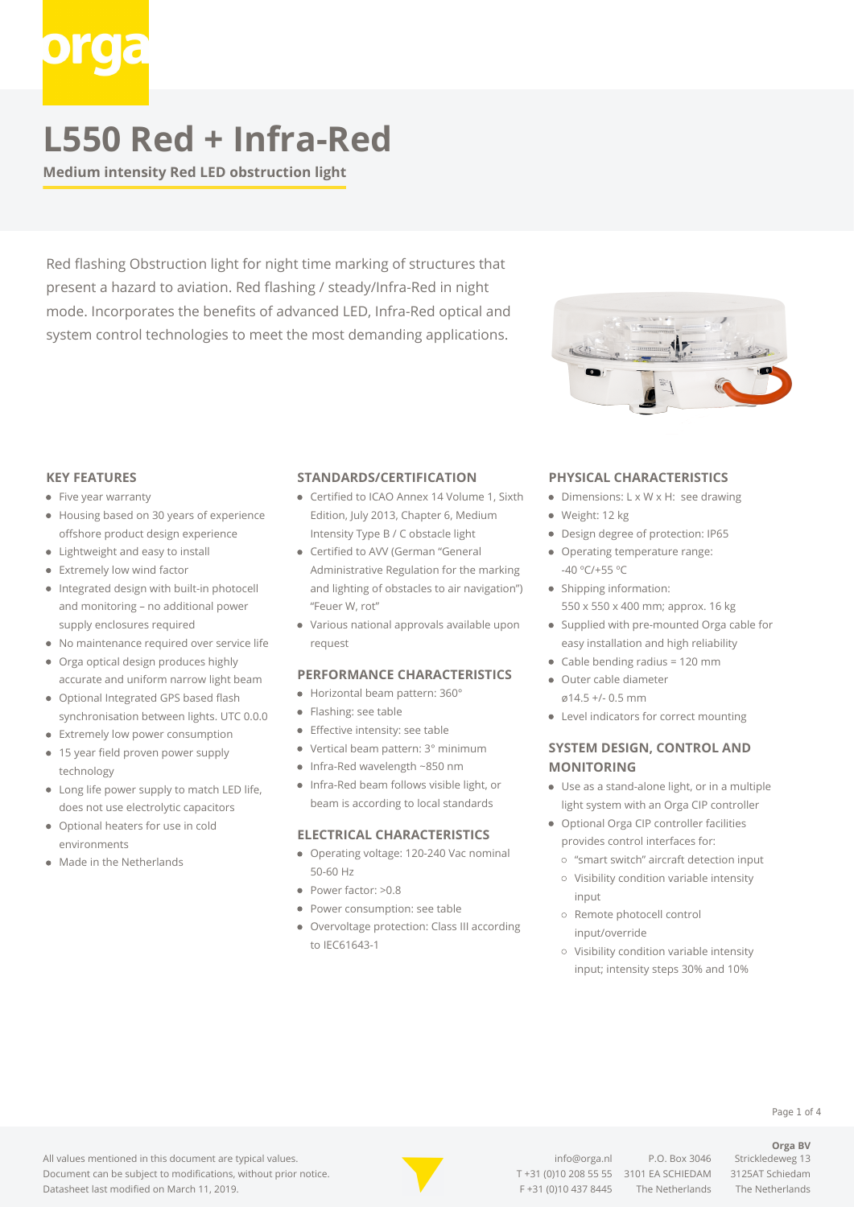**Medium intensity Red LED obstruction light**

Red flashing Obstruction light for night time marking of structures that present a hazard to aviation. Red flashing / steady/Infra-Red in night mode. Incorporates the benefits of advanced LED, Infra-Red optical and system control technologies to meet the most demanding applications.



#### **KEY FEATURES**

- Five year warranty
- Housing based on 30 years of experience offshore product design experience
- Lightweight and easy to install
- Extremely low wind factor
- Integrated design with built-in photocell and monitoring – no additional power supply enclosures required
- No maintenance required over service life
- Orga optical design produces highly accurate and uniform narrow light beam
- Optional Integrated GPS based flash synchronisation between lights. UTC 0.0.0
- Extremely low power consumption
- 15 year field proven power supply technology
- Long life power supply to match LED life, does not use electrolytic capacitors
- Optional heaters for use in cold environments
- Made in the Netherlands

#### **STANDARDS/CERTIFICATION**

- Certified to ICAO Annex 14 Volume 1, Sixth Edition, July 2013, Chapter 6, Medium Intensity Type B / C obstacle light
- Certified to AVV (German "General Administrative Regulation for the marking and lighting of obstacles to air navigation") "Feuer W, rot"
- Various national approvals available upon request

#### **PERFORMANCE CHARACTERISTICS**

- Horizontal beam pattern: 360°
- Flashing: see table
- **Effective intensity: see table**
- Vertical beam pattern: 3° minimum
- Infra-Red wavelength ~850 nm
- Infra-Red beam follows visible light, or beam is according to local standards

#### **ELECTRICAL CHARACTERISTICS**

- Operating voltage: 120-240 Vac nominal 50-60 Hz
- Power factor: >0.8
- Power consumption: see table
- Overvoltage protection: Class III according to IEC61643-1

#### **PHYSICAL CHARACTERISTICS**

- Dimensions: L x W x H: see drawing
- Weight: 12 kg
- Design degree of protection: IP65
- Operating temperature range: -40 ºC/+55 ºC
- Shipping information:

550 x 550 x 400 mm; approx. 16 kg Supplied with pre-mounted Orga cable for

- easy installation and high reliability
- Cable bending radius = 120 mm
- Outer cable diameter ø14.5 +/- 0.5 mm
- Level indicators for correct mounting

### **SYSTEM DESIGN, CONTROL AND MONITORING**

- Use as a stand-alone light, or in a multiple light system with an Orga CIP controller
- Optional Orga CIP controller facilities provides control interfaces for:
	- "smart switch" aircraft detection input
	- Visibility condition variable intensity input
	- o Remote photocell control input/override
	- Visibility condition variable intensity input; intensity steps 30% and 10%

All values mentioned in this document are typical values. Document can be subject to modifications, without prior notice. Datasheet last modified on March 11, 2019.



[info@orga.nl](mailto:info@orga.nl) P.O. Box 3046 Strickledeweg 13 T [+31 \(0\)10 208 55 55](#page--1-0) 3101 EA SCHIEDAM 3125AT Schiedam F +31 (0)10 437 8445 The Netherlands The Netherlands

**Orga BV**

Page 1 of 4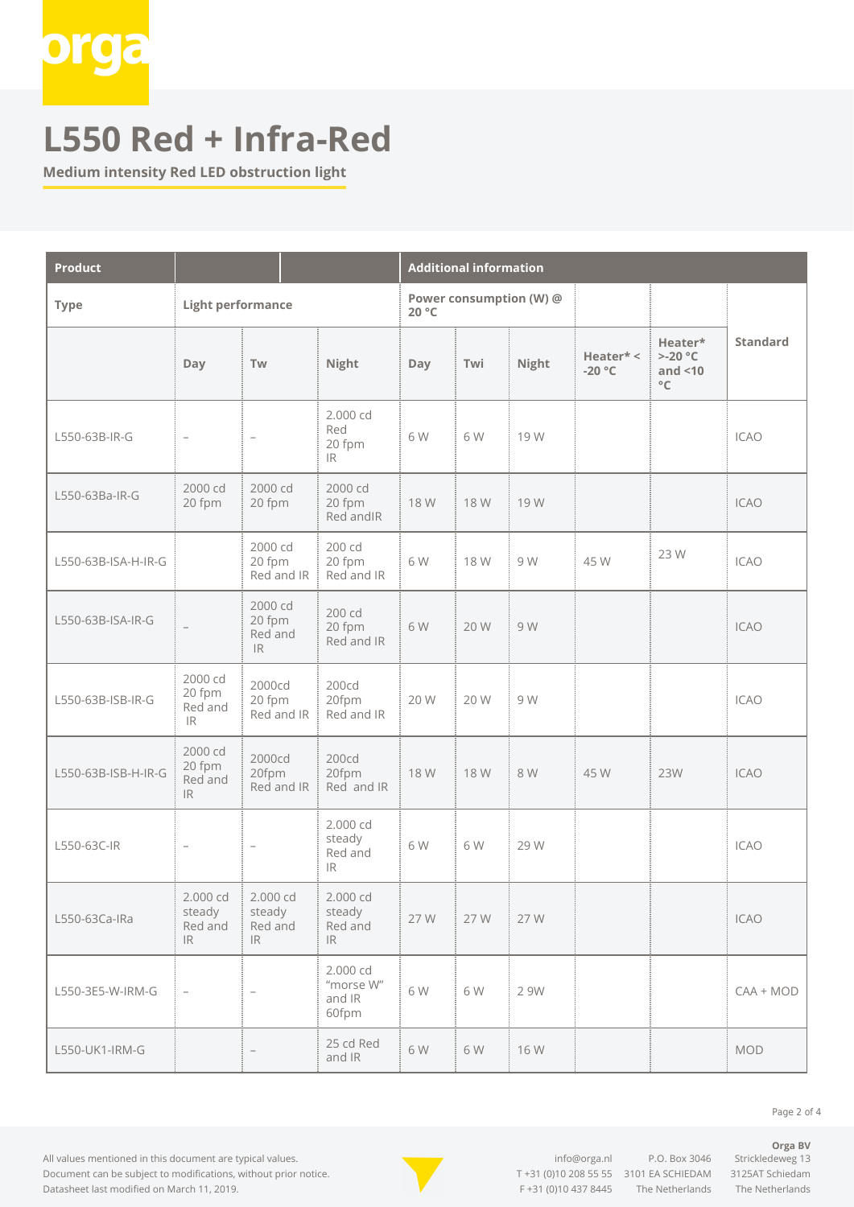

**Medium intensity Red LED obstruction light**

| <b>Product</b>      |                                                                    |                                                                    |                                          | <b>Additional information</b> |      |              |                       |                                                              |                 |
|---------------------|--------------------------------------------------------------------|--------------------------------------------------------------------|------------------------------------------|-------------------------------|------|--------------|-----------------------|--------------------------------------------------------------|-----------------|
| <b>Type</b>         | <b>Light performance</b>                                           | Power consumption (W) @<br>20 °C                                   |                                          |                               |      |              |                       |                                                              |                 |
|                     | Day                                                                | Tw                                                                 | Night                                    | Day                           | Twi  | <b>Night</b> | Heater* <<br>$-20 °C$ | Heater*<br>$> -20$ °C<br>and $<$ 10<br>$^{\circ}{\mathbb C}$ | <b>Standard</b> |
| L550-63B-IR-G       | $\overline{\phantom{a}}$                                           | $\overline{\phantom{a}}$                                           | 2.000 cd<br>Red<br>20 fpm<br>IR          | 6W                            | 6W   | 19 W         |                       |                                                              | <b>ICAO</b>     |
| L550-63Ba-IR-G      | 2000 cd<br>20 fpm                                                  | 2000 cd<br>20 fpm                                                  | 2000 cd<br>20 fpm<br>Red and IR          | 18 W                          | 18 W | 19 W         |                       |                                                              | <b>ICAO</b>     |
| L550-63B-ISA-H-IR-G |                                                                    | 2000 cd<br>20 fpm<br>Red and IR                                    | 200 cd<br>20 fpm<br>Red and IR           | 6 W                           | 18 W | 9 W          | 45 W                  | 23 W                                                         | <b>ICAO</b>     |
| L550-63B-ISA-IR-G   |                                                                    | 2000 cd<br>20 fpm<br>Red and<br>$\ensuremath{\mathsf{IR}}\xspace$  | 200 cd<br>20 fpm<br>Red and IR           | 6 W                           | 20 W | 9 W          |                       |                                                              | <b>ICAO</b>     |
| L550-63B-ISB-IR-G   | 2000 cd<br>20 fpm<br>Red and<br>IR                                 | 2000cd<br>20 fpm<br>Red and $IR \frac{1}{2}$                       | 200cd<br>20fpm<br>Red and IR             | 20 W                          | 20 W | 9 W          |                       |                                                              | <b>ICAO</b>     |
| L550-63B-ISB-H-IR-G | 2000 cd<br>20 fpm<br>Red and<br>IR                                 | 2000cd<br>20fpm<br>Red and IR                                      | 200cd<br>20fpm<br>Red and IR             | 18 W                          | 18 W | 8 W          | 45 W                  | 23W                                                          | <b>ICAO</b>     |
| L550-63C-IR         | $\overline{\phantom{a}}$                                           | $\overline{\phantom{a}}$                                           | 2.000 cd<br>steady<br>Red and<br>IR.     | 6 W                           | 6 W  | 29 W         |                       |                                                              | ICAO            |
| L550-63Ca-IRa       | 2.000 cd<br>steady<br>Red and<br>$\ensuremath{\mathsf{IR}}\xspace$ | 2.000 cd<br>steady<br>Red and<br>$\ensuremath{\mathsf{IR}}\xspace$ | 2.000 cd<br>steady<br>Red and<br>IR      | 27 W                          | 27 W | 27 W         |                       |                                                              | <b>ICAO</b>     |
| L550-3E5-W-IRM-G    |                                                                    | $\overline{\phantom{a}}$                                           | 2.000 cd<br>"morse W"<br>and IR<br>60fpm | 6W                            | 6W   | 2 9W         |                       |                                                              | $CAA + MOD$     |
| L550-UK1-IRM-G      |                                                                    |                                                                    | 25 cd Red<br>and IR                      | 6W                            | 6W   | 16 W         |                       |                                                              | MOD             |

All values mentioned in this document are typical values. Document can be subject to modifications, without prior notice. Datasheet last modified on March 11, 2019.



[info@orga.nl](mailto:info@orga.nl) P.O. Box 3046 Strickledeweg 13 T [+31 \(0\)10 208 55 55](#page--1-0) 3101 EA SCHIEDAM 3125AT Schiedam F +31 (0)10 437 8445 The Netherlands The Netherlands

Page 2 of 4

**Orga BV**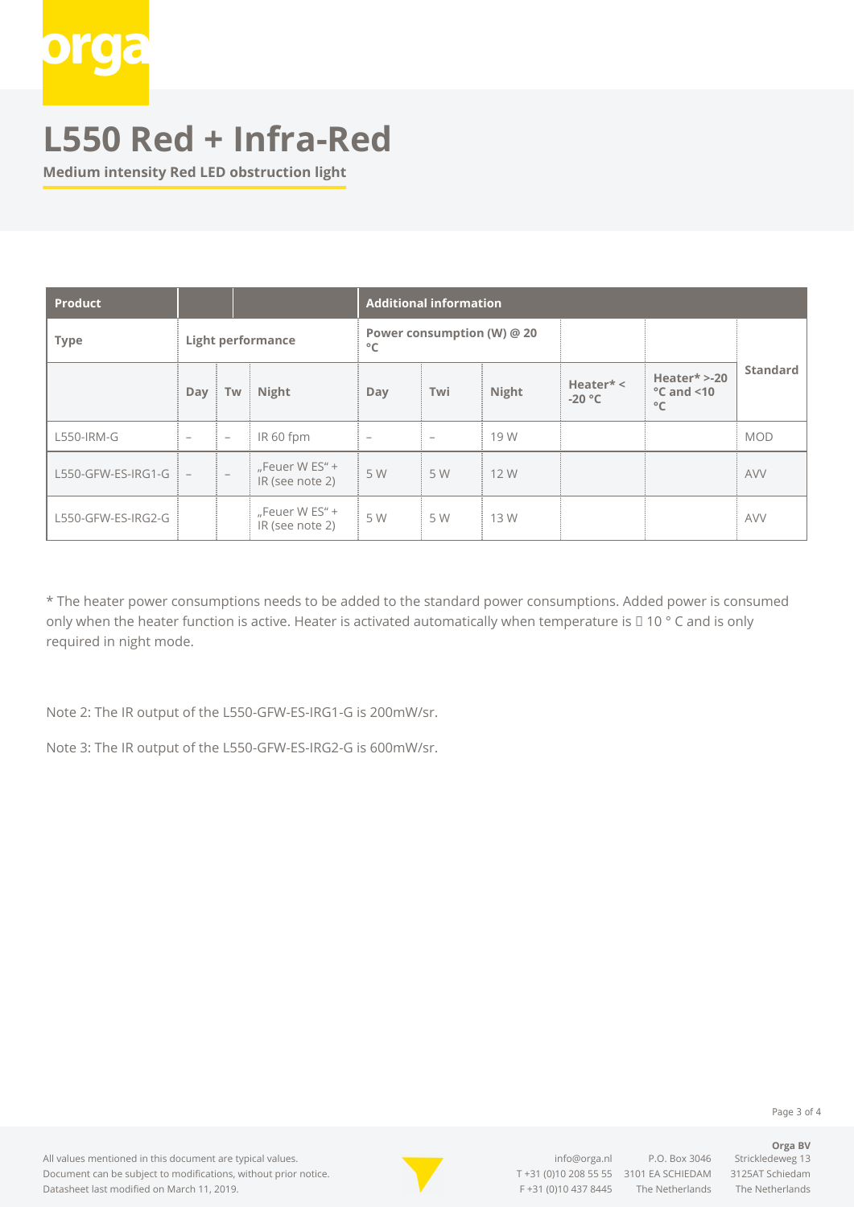

**Medium intensity Red LED obstruction light**

| <b>Product</b>     |                          |                          |                                      | <b>Additional information</b> |                            |       |                       |                                                         |                 |  |
|--------------------|--------------------------|--------------------------|--------------------------------------|-------------------------------|----------------------------|-------|-----------------------|---------------------------------------------------------|-----------------|--|
| <b>Type</b>        | <b>Light performance</b> |                          |                                      | $^{\circ}$ C                  | Power consumption (W) @ 20 |       |                       |                                                         |                 |  |
|                    | Day                      | Tw                       | Night                                | Day                           | Twi                        | Night | Heater* <<br>$-20 °C$ | Heater $* > -20$<br>$\degree$ C and <10<br>$^{\circ}$ C | <b>Standard</b> |  |
| L550-IRM-G         | -                        | $\overline{\phantom{a}}$ | IR 60 fpm                            | $\overline{\phantom{a}}$      | $\overline{\phantom{a}}$   | 19 W  |                       |                                                         | <b>MOD</b>      |  |
| L550-GFW-ES-IRG1-G | $\overline{\phantom{a}}$ |                          | "Feuer W $ES'' +$<br>IR (see note 2) | 5 W                           | 5 W                        | 12 W  |                       |                                                         | <b>AVV</b>      |  |
| L550-GFW-ES-IRG2-G |                          |                          | "Feuer W $ES'' +$<br>IR (see note 2) | 5 W                           | 5 W                        | 13 W  |                       |                                                         | <b>AVV</b>      |  |

\* The heater power consumptions needs to be added to the standard power consumptions. Added power is consumed only when the heater function is active. Heater is activated automatically when temperature is □ 10 ° C and is only required in night mode.

Note 2: The IR output of the L550-GFW-ES-IRG1-G is 200mW/sr.

Note 3: The IR output of the L550-GFW-ES-IRG2-G is 600mW/sr.

Page 3 of 4

**Orga BV**

#### All values mentioned in this document are typical values. Document can be subject to modifications, without prior notice. Datasheet last modified on March 11, 2019.



[info@orga.nl](mailto:info@orga.nl) P.O. Box 3046 Strickledeweg 13 T [+31 \(0\)10 208 55 55](#page--1-0) 3101 EA SCHIEDAM 3125AT Schiedam F +31 (0)10 437 8445 The Netherlands The Netherlands